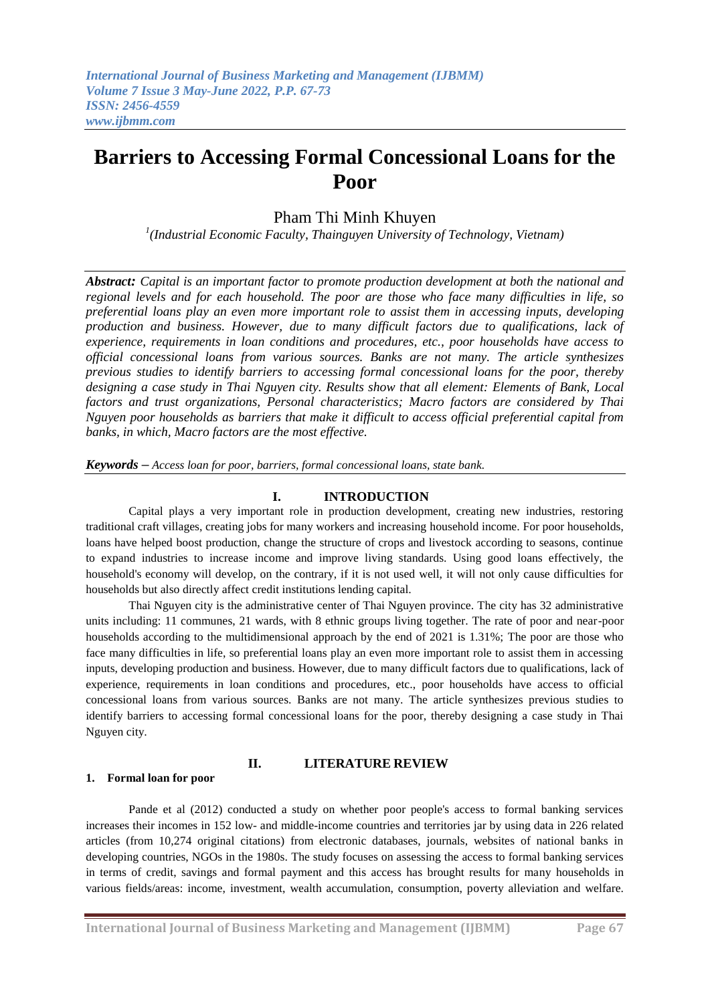# **Barriers to Accessing Formal Concessional Loans for the Poor**

# Pham Thi Minh Khuyen

*1 (Industrial Economic Faculty, Thainguyen University of Technology, Vietnam)*

*Abstract: Capital is an important factor to promote production development at both the national and regional levels and for each household. The poor are those who face many difficulties in life, so preferential loans play an even more important role to assist them in accessing inputs, developing production and business. However, due to many difficult factors due to qualifications, lack of experience, requirements in loan conditions and procedures, etc., poor households have access to official concessional loans from various sources. Banks are not many. The article synthesizes previous studies to identify barriers to accessing formal concessional loans for the poor, thereby designing a case study in Thai Nguyen city. Results show that all element: Elements of Bank, Local factors and trust organizations, Personal characteristics; Macro factors are considered by Thai Nguyen poor households as barriers that make it difficult to access official preferential capital from banks, in which, Macro factors are the most effective.*

*Keywords – Access loan for poor, barriers, formal concessional loans, state bank.*

# **I. INTRODUCTION**

Capital plays a very important role in production development, creating new industries, restoring traditional craft villages, creating jobs for many workers and increasing household income. For poor households, loans have helped boost production, change the structure of crops and livestock according to seasons, continue to expand industries to increase income and improve living standards. Using good loans effectively, the household's economy will develop, on the contrary, if it is not used well, it will not only cause difficulties for households but also directly affect credit institutions lending capital.

Thai Nguyen city is the administrative center of Thai Nguyen province. The city has 32 administrative units including: 11 communes, 21 wards, with 8 ethnic groups living together. The rate of poor and near-poor households according to the multidimensional approach by the end of 2021 is 1.31%; The poor are those who face many difficulties in life, so preferential loans play an even more important role to assist them in accessing inputs, developing production and business. However, due to many difficult factors due to qualifications, lack of experience, requirements in loan conditions and procedures, etc., poor households have access to official concessional loans from various sources. Banks are not many. The article synthesizes previous studies to identify barriers to accessing formal concessional loans for the poor, thereby designing a case study in Thai Nguyen city.

## **II. LITERATURE REVIEW**

#### **1. Formal loan for poor**

Pande et al (2012) conducted a study on whether poor people's access to formal banking services increases their incomes in 152 low- and middle-income countries and territories jar by using data in 226 related articles (from 10,274 original citations) from electronic databases, journals, websites of national banks in developing countries, NGOs in the 1980s. The study focuses on assessing the access to formal banking services in terms of credit, savings and formal payment and this access has brought results for many households in various fields/areas: income, investment, wealth accumulation, consumption, poverty alleviation and welfare.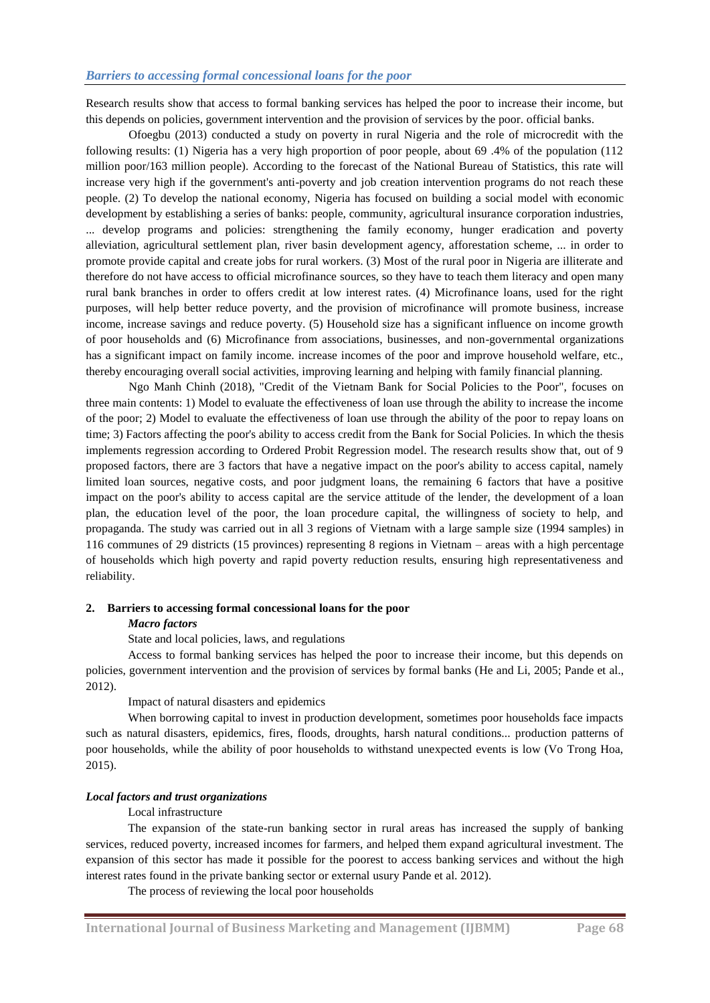Research results show that access to formal banking services has helped the poor to increase their income, but this depends on policies, government intervention and the provision of services by the poor. official banks.

Ofoegbu (2013) conducted a study on poverty in rural Nigeria and the role of microcredit with the following results: (1) Nigeria has a very high proportion of poor people, about 69 .4% of the population (112 million poor/163 million people). According to the forecast of the National Bureau of Statistics, this rate will increase very high if the government's anti-poverty and job creation intervention programs do not reach these people. (2) To develop the national economy, Nigeria has focused on building a social model with economic development by establishing a series of banks: people, community, agricultural insurance corporation industries, ... develop programs and policies: strengthening the family economy, hunger eradication and poverty alleviation, agricultural settlement plan, river basin development agency, afforestation scheme, ... in order to promote provide capital and create jobs for rural workers. (3) Most of the rural poor in Nigeria are illiterate and therefore do not have access to official microfinance sources, so they have to teach them literacy and open many rural bank branches in order to offers credit at low interest rates. (4) Microfinance loans, used for the right purposes, will help better reduce poverty, and the provision of microfinance will promote business, increase income, increase savings and reduce poverty. (5) Household size has a significant influence on income growth of poor households and (6) Microfinance from associations, businesses, and non-governmental organizations has a significant impact on family income. increase incomes of the poor and improve household welfare, etc., thereby encouraging overall social activities, improving learning and helping with family financial planning.

Ngo Manh Chinh (2018), "Credit of the Vietnam Bank for Social Policies to the Poor", focuses on three main contents: 1) Model to evaluate the effectiveness of loan use through the ability to increase the income of the poor; 2) Model to evaluate the effectiveness of loan use through the ability of the poor to repay loans on time; 3) Factors affecting the poor's ability to access credit from the Bank for Social Policies. In which the thesis implements regression according to Ordered Probit Regression model. The research results show that, out of 9 proposed factors, there are 3 factors that have a negative impact on the poor's ability to access capital, namely limited loan sources, negative costs, and poor judgment loans, the remaining 6 factors that have a positive impact on the poor's ability to access capital are the service attitude of the lender, the development of a loan plan, the education level of the poor, the loan procedure capital, the willingness of society to help, and propaganda. The study was carried out in all 3 regions of Vietnam with a large sample size (1994 samples) in 116 communes of 29 districts (15 provinces) representing 8 regions in Vietnam – areas with a high percentage of households which high poverty and rapid poverty reduction results, ensuring high representativeness and reliability.

#### **2. Barriers to accessing formal concessional loans for the poor**

#### *Macro factors*

State and local policies, laws, and regulations

Access to formal banking services has helped the poor to increase their income, but this depends on policies, government intervention and the provision of services by formal banks (He and Li, 2005; Pande et al., 2012).

Impact of natural disasters and epidemics

When borrowing capital to invest in production development, sometimes poor households face impacts such as natural disasters, epidemics, fires, floods, droughts, harsh natural conditions... production patterns of poor households, while the ability of poor households to withstand unexpected events is low (Vo Trong Hoa, 2015).

#### *Local factors and trust organizations*

#### Local infrastructure

The expansion of the state-run banking sector in rural areas has increased the supply of banking services, reduced poverty, increased incomes for farmers, and helped them expand agricultural investment. The expansion of this sector has made it possible for the poorest to access banking services and without the high interest rates found in the private banking sector or external usury Pande et al. 2012).

The process of reviewing the local poor households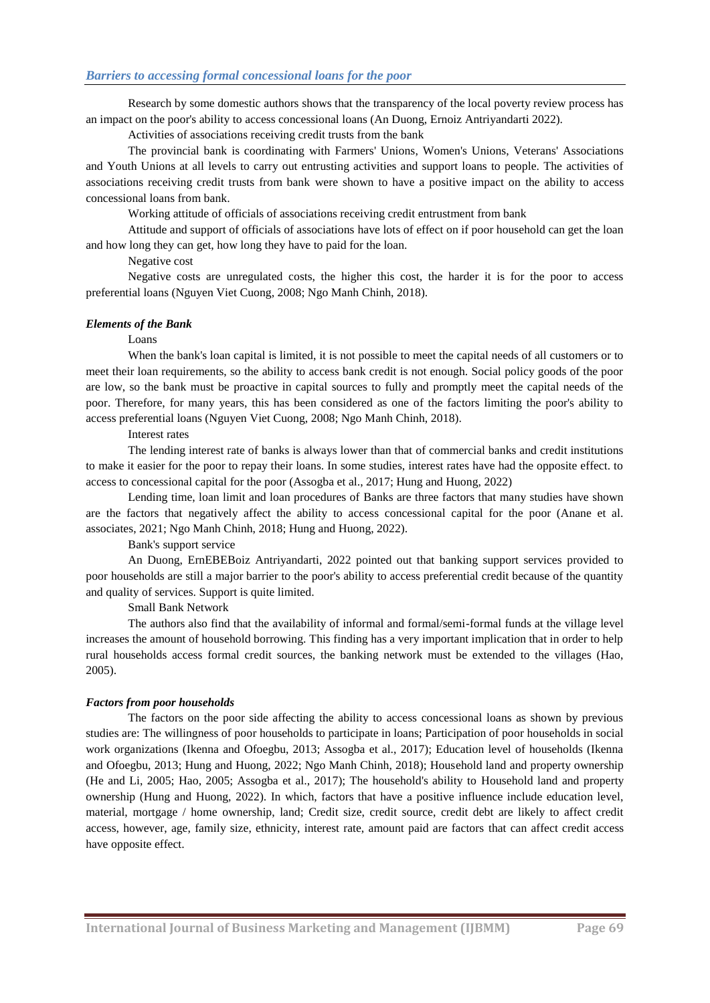Research by some domestic authors shows that the transparency of the local poverty review process has an impact on the poor's ability to access concessional loans (An Duong, Ernoiz Antriyandarti 2022).

Activities of associations receiving credit trusts from the bank

The provincial bank is coordinating with Farmers' Unions, Women's Unions, Veterans' Associations and Youth Unions at all levels to carry out entrusting activities and support loans to people. The activities of associations receiving credit trusts from bank were shown to have a positive impact on the ability to access concessional loans from bank.

Working attitude of officials of associations receiving credit entrustment from bank

Attitude and support of officials of associations have lots of effect on if poor household can get the loan and how long they can get, how long they have to paid for the loan.

Negative cost

Negative costs are unregulated costs, the higher this cost, the harder it is for the poor to access preferential loans (Nguyen Viet Cuong, 2008; Ngo Manh Chinh, 2018).

#### *Elements of the Bank*

#### Loans

When the bank's loan capital is limited, it is not possible to meet the capital needs of all customers or to meet their loan requirements, so the ability to access bank credit is not enough. Social policy goods of the poor are low, so the bank must be proactive in capital sources to fully and promptly meet the capital needs of the poor. Therefore, for many years, this has been considered as one of the factors limiting the poor's ability to access preferential loans (Nguyen Viet Cuong, 2008; Ngo Manh Chinh, 2018).

#### Interest rates

The lending interest rate of banks is always lower than that of commercial banks and credit institutions to make it easier for the poor to repay their loans. In some studies, interest rates have had the opposite effect. to access to concessional capital for the poor (Assogba et al., 2017; Hung and Huong, 2022)

Lending time, loan limit and loan procedures of Banks are three factors that many studies have shown are the factors that negatively affect the ability to access concessional capital for the poor (Anane et al. associates, 2021; Ngo Manh Chinh, 2018; Hung and Huong, 2022).

Bank's support service

An Duong, ErnEBEBoiz Antriyandarti, 2022 pointed out that banking support services provided to poor households are still a major barrier to the poor's ability to access preferential credit because of the quantity and quality of services. Support is quite limited.

Small Bank Network

The authors also find that the availability of informal and formal/semi-formal funds at the village level increases the amount of household borrowing. This finding has a very important implication that in order to help rural households access formal credit sources, the banking network must be extended to the villages (Hao, 2005).

#### *Factors from poor households*

The factors on the poor side affecting the ability to access concessional loans as shown by previous studies are: The willingness of poor households to participate in loans; Participation of poor households in social work organizations (Ikenna and Ofoegbu, 2013; Assogba et al., 2017); Education level of households (Ikenna and Ofoegbu, 2013; Hung and Huong, 2022; Ngo Manh Chinh, 2018); Household land and property ownership (He and Li, 2005; Hao, 2005; Assogba et al., 2017); The household's ability to Household land and property ownership (Hung and Huong, 2022). In which, factors that have a positive influence include education level, material, mortgage / home ownership, land; Credit size, credit source, credit debt are likely to affect credit access, however, age, family size, ethnicity, interest rate, amount paid are factors that can affect credit access have opposite effect.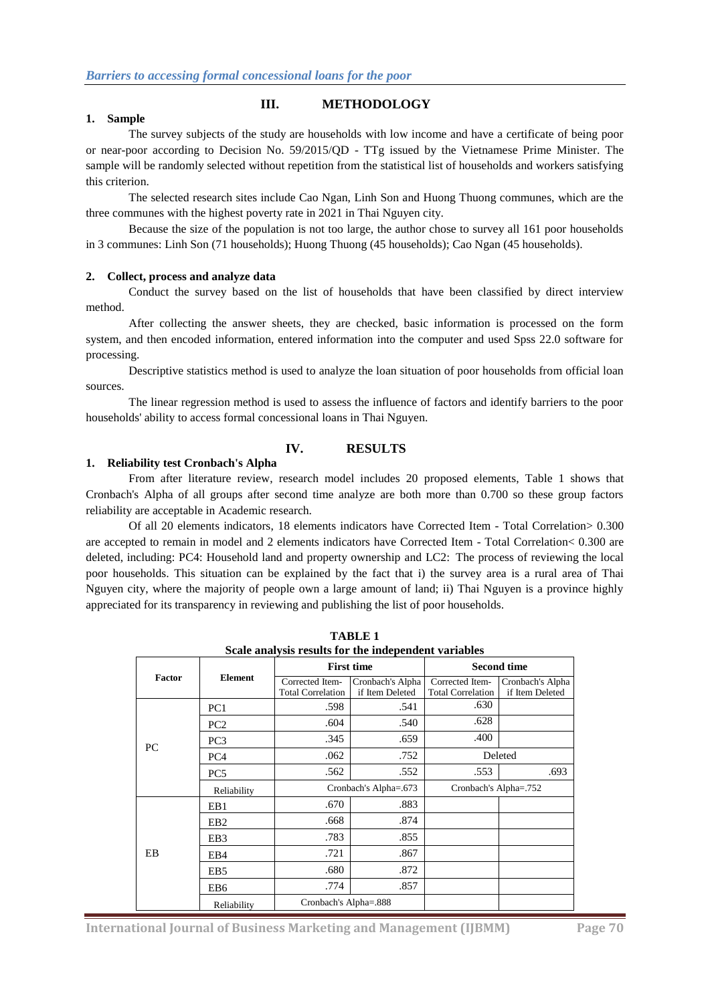# **III. METHODOLOGY**

#### **1. Sample**

The survey subjects of the study are households with low income and have a certificate of being poor or near-poor according to Decision No. 59/2015/QD - TTg issued by the Vietnamese Prime Minister. The sample will be randomly selected without repetition from the statistical list of households and workers satisfying this criterion.

The selected research sites include Cao Ngan, Linh Son and Huong Thuong communes, which are the three communes with the highest poverty rate in 2021 in Thai Nguyen city.

Because the size of the population is not too large, the author chose to survey all 161 poor households in 3 communes: Linh Son (71 households); Huong Thuong (45 households); Cao Ngan (45 households).

#### **2. Collect, process and analyze data**

Conduct the survey based on the list of households that have been classified by direct interview method.

After collecting the answer sheets, they are checked, basic information is processed on the form system, and then encoded information, entered information into the computer and used Spss 22.0 software for processing.

Descriptive statistics method is used to analyze the loan situation of poor households from official loan sources.

The linear regression method is used to assess the influence of factors and identify barriers to the poor households' ability to access formal concessional loans in Thai Nguyen.

## **IV. RESULTS**

#### **1. Reliability test Cronbach's Alpha**

From after literature review, research model includes 20 proposed elements, Table 1 shows that Cronbach's Alpha of all groups after second time analyze are both more than 0.700 so these group factors reliability are acceptable in Academic research.

Of all 20 elements indicators, 18 elements indicators have Corrected Item - Total Correlation> 0.300 are accepted to remain in model and 2 elements indicators have Corrected Item - Total Correlation< 0.300 are deleted, including: PC4: Household land and property ownership and LC2: The process of reviewing the local poor households. This situation can be explained by the fact that i) the survey area is a rural area of Thai Nguyen city, where the majority of people own a large amount of land; ii) Thai Nguyen is a province highly appreciated for its transparency in reviewing and publishing the list of poor households.

| Scale analysis results for the independent variables |                 |                                             |                                     |                                             |                                     |  |  |  |
|------------------------------------------------------|-----------------|---------------------------------------------|-------------------------------------|---------------------------------------------|-------------------------------------|--|--|--|
|                                                      | <b>Element</b>  | <b>First time</b>                           |                                     | <b>Second time</b>                          |                                     |  |  |  |
| <b>Factor</b>                                        |                 | Corrected Item-<br><b>Total Correlation</b> | Cronbach's Alpha<br>if Item Deleted | Corrected Item-<br><b>Total Correlation</b> | Cronbach's Alpha<br>if Item Deleted |  |  |  |
|                                                      | PC1             | .598                                        | .541                                | .630                                        |                                     |  |  |  |
|                                                      | PC <sub>2</sub> | .604                                        | .540                                | .628                                        |                                     |  |  |  |
| PC.                                                  | PC <sub>3</sub> | .345                                        | .659                                | .400                                        |                                     |  |  |  |
|                                                      | PC <sub>4</sub> | .062                                        | .752                                |                                             | Deleted                             |  |  |  |
|                                                      | PC <sub>5</sub> | .562                                        | .552                                | .553                                        | .693                                |  |  |  |
|                                                      | Reliability     | Cronbach's Alpha=.673                       |                                     | Cronbach's Alpha=.752                       |                                     |  |  |  |
|                                                      | EB1             | .670                                        | .883                                |                                             |                                     |  |  |  |
|                                                      | EB <sub>2</sub> | .668                                        | .874                                |                                             |                                     |  |  |  |
|                                                      | EB <sub>3</sub> | .783                                        | .855                                |                                             |                                     |  |  |  |
| EB                                                   | EB4             | .721                                        | .867                                |                                             |                                     |  |  |  |
|                                                      | EB <sub>5</sub> | .680                                        | .872                                |                                             |                                     |  |  |  |
|                                                      | EB <sub>6</sub> | .774                                        | .857                                |                                             |                                     |  |  |  |
|                                                      | Reliability     | Cronbach's Alpha=.888                       |                                     |                                             |                                     |  |  |  |

**TABLE 1 Scale analysis results for the independent variables**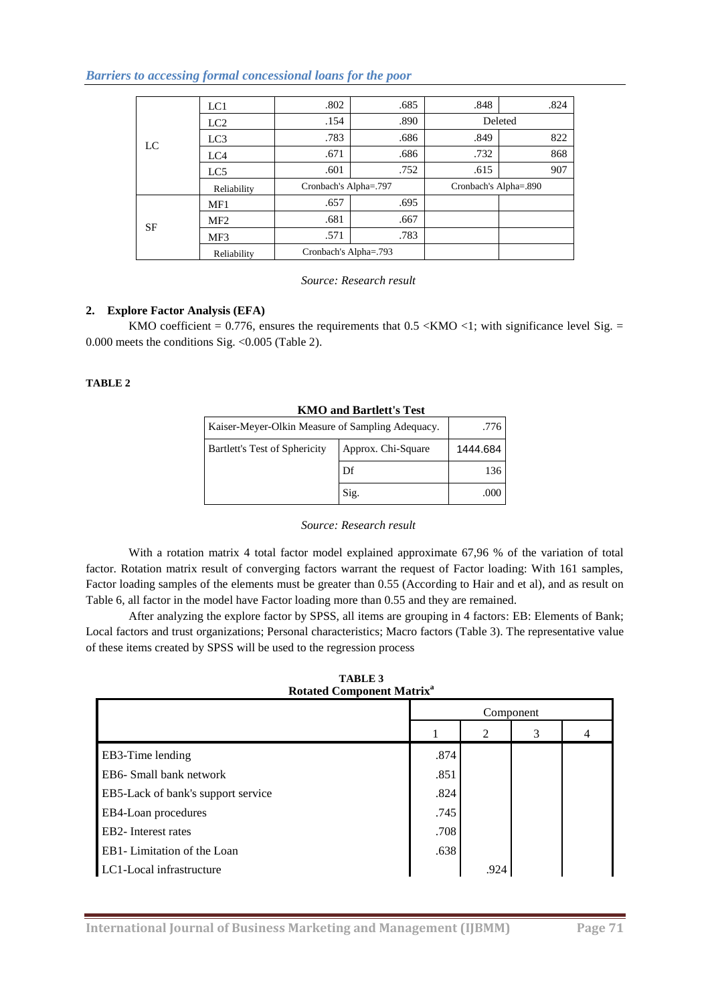*Barriers to accessing formal concessional loans for the poor*

|    | LC1             | .802                  | .685 | .848                  | .824    |
|----|-----------------|-----------------------|------|-----------------------|---------|
|    | LC2             | .154                  | .890 |                       | Deleted |
|    | LC <sub>3</sub> | .783                  | .686 | .849                  | 822     |
| LC | LC4             | .671                  | .686 | .732                  | 868     |
|    | LC5             | .601                  | .752 | .615                  | 907     |
|    | Reliability     | Cronbach's Alpha=.797 |      | Cronbach's Alpha=.890 |         |
|    | MF1             | .657                  | .695 |                       |         |
| SF | MF <sub>2</sub> | .681                  | .667 |                       |         |
|    | MF3             | .571                  | .783 |                       |         |
|    | Reliability     | Cronbach's Alpha=.793 |      |                       |         |

*Source: Research result*

# **2. Explore Factor Analysis (EFA)**

KMO coefficient =  $0.776$ , ensures the requirements that  $0.5 \ll M\text{CO} < 1$ ; with significance level Sig. = 0.000 meets the conditions Sig. <0.005 (Table 2).

## **TABLE 2**

| KMO and Bartlett's Test                          |                    |          |  |  |  |
|--------------------------------------------------|--------------------|----------|--|--|--|
| Kaiser-Meyer-Olkin Measure of Sampling Adequacy. | .776               |          |  |  |  |
| Bartlett's Test of Sphericity                    | Approx. Chi-Square | 1444.684 |  |  |  |
|                                                  | Df                 | 136      |  |  |  |
|                                                  | Sig.               | .000     |  |  |  |

# **KMO and Bartlett's Test**

## *Source: Research result*

With a rotation matrix 4 total factor model explained approximate 67,96 % of the variation of total factor. Rotation matrix result of converging factors warrant the request of Factor loading: With 161 samples, Factor loading samples of the elements must be greater than 0.55 (According to Hair and et al), and as result on Table 6, all factor in the model have Factor loading more than 0.55 and they are remained.

After analyzing the explore factor by SPSS, all items are grouping in 4 factors: EB: Elements of Bank; Local factors and trust organizations; Personal characteristics; Macro factors (Table 3). The representative value of these items created by SPSS will be used to the regression process

| <b>TABLE 3</b> |                                             |
|----------------|---------------------------------------------|
|                | <b>Rotated Component Matrix<sup>a</sup></b> |

|                                    | Component |      |   |   |
|------------------------------------|-----------|------|---|---|
|                                    |           | 2    | 3 | 4 |
| EB3-Time lending                   | .874      |      |   |   |
| EB6- Small bank network            | .851      |      |   |   |
| EB5-Lack of bank's support service | .824      |      |   |   |
| EB4-Loan procedures                | .745      |      |   |   |
| EB2-Interest rates                 | .708      |      |   |   |
| EB1- Limitation of the Loan        | .638      |      |   |   |
| LC1-Local infrastructure           |           | .924 |   |   |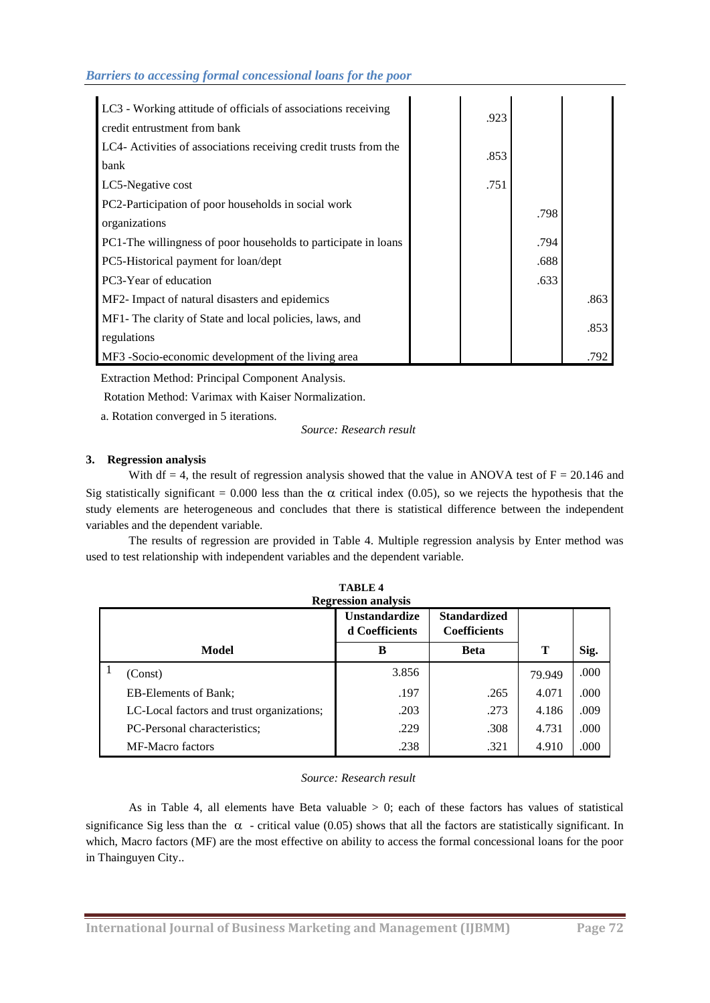| LC3 - Working attitude of officials of associations receiving    | .923 |      |      |
|------------------------------------------------------------------|------|------|------|
| credit entrustment from bank                                     |      |      |      |
| LC4- Activities of associations receiving credit trusts from the | .853 |      |      |
| bank                                                             |      |      |      |
| LC5-Negative cost                                                | .751 |      |      |
| PC2-Participation of poor households in social work              |      | .798 |      |
| organizations                                                    |      |      |      |
| PC1-The willingness of poor households to participate in loans   |      | .794 |      |
| PC5-Historical payment for loan/dept                             |      | .688 |      |
| PC3-Year of education                                            |      | .633 |      |
| MF2- Impact of natural disasters and epidemics                   |      |      | .863 |
| MF1- The clarity of State and local policies, laws, and          |      |      |      |
| regulations                                                      |      |      | .853 |
| MF3 -Socio-economic development of the living area               |      |      | .792 |

Extraction Method: Principal Component Analysis.

Rotation Method: Varimax with Kaiser Normalization.

a. Rotation converged in 5 iterations.

*Source: Research result*

# **3. Regression analysis**

With df = 4, the result of regression analysis showed that the value in ANOVA test of  $F = 20.146$  and Sig statistically significant = 0.000 less than the  $\alpha$  critical index (0.05), so we rejects the hypothesis that the study elements are heterogeneous and concludes that there is statistical difference between the independent variables and the dependent variable.

The results of regression are provided in Table 4. Multiple regression analysis by Enter method was used to test relationship with independent variables and the dependent variable.

**TABLE 4**

|  | <b>Regression analysis</b>                |                                        |                                            |        |      |  |  |  |  |
|--|-------------------------------------------|----------------------------------------|--------------------------------------------|--------|------|--|--|--|--|
|  |                                           | <b>Unstandardize</b><br>d Coefficients | <b>Standardized</b><br><b>Coefficients</b> |        |      |  |  |  |  |
|  | Model                                     | B                                      | <b>Beta</b>                                | т      | Sig. |  |  |  |  |
|  | (Const)                                   | 3.856                                  |                                            | 79.949 | .000 |  |  |  |  |
|  | <b>EB-Elements of Bank:</b>               | .197                                   | .265                                       | 4.071  | .000 |  |  |  |  |
|  | LC-Local factors and trust organizations; | .203                                   | .273                                       | 4.186  | .009 |  |  |  |  |
|  | PC-Personal characteristics;              | .229                                   | .308                                       | 4.731  | .000 |  |  |  |  |
|  | <b>MF-Macro factors</b>                   | .238                                   | .321                                       | 4.910  | .000 |  |  |  |  |

## *Source: Research result*

As in Table 4, all elements have Beta valuable  $> 0$ ; each of these factors has values of statistical significance Sig less than the  $\alpha$  - critical value (0.05) shows that all the factors are statistically significant. In which, Macro factors (MF) are the most effective on ability to access the formal concessional loans for the poor in Thainguyen City..